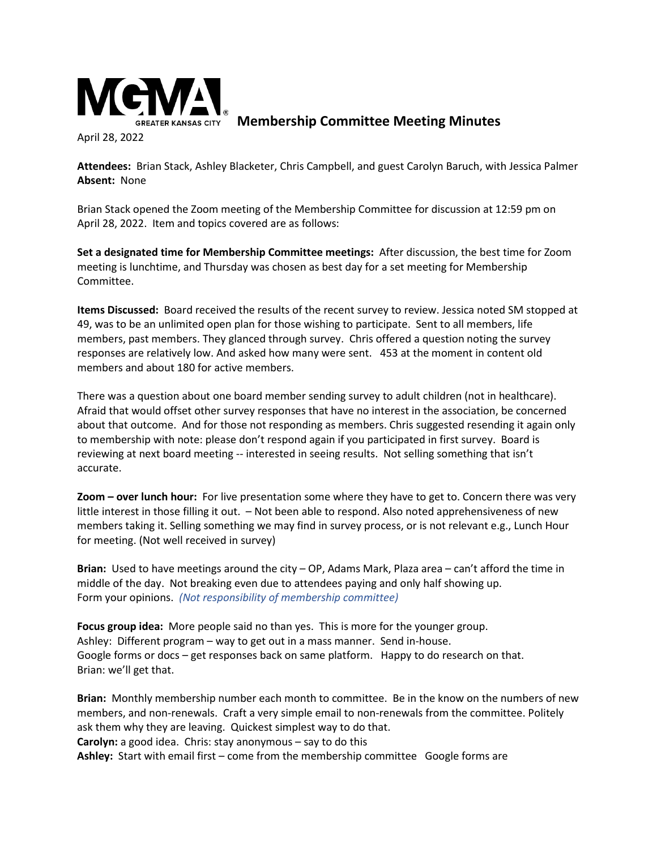

**Membership Committee Meeting Minutes**

April 28, 2022

**Attendees:** Brian Stack, Ashley Blacketer, Chris Campbell, and guest Carolyn Baruch, with Jessica Palmer **Absent:** None

Brian Stack opened the Zoom meeting of the Membership Committee for discussion at 12:59 pm on April 28, 2022. Item and topics covered are as follows:

**Set a designated time for Membership Committee meetings:** After discussion, the best time for Zoom meeting is lunchtime, and Thursday was chosen as best day for a set meeting for Membership Committee.

**Items Discussed:** Board received the results of the recent survey to review. Jessica noted SM stopped at 49, was to be an unlimited open plan for those wishing to participate. Sent to all members, life members, past members. They glanced through survey. Chris offered a question noting the survey responses are relatively low. And asked how many were sent. 453 at the moment in content old members and about 180 for active members.

There was a question about one board member sending survey to adult children (not in healthcare). Afraid that would offset other survey responses that have no interest in the association, be concerned about that outcome. And for those not responding as members. Chris suggested resending it again only to membership with note: please don't respond again if you participated in first survey. Board is reviewing at next board meeting -- interested in seeing results. Not selling something that isn't accurate.

**Zoom – over lunch hour:** For live presentation some where they have to get to. Concern there was very little interest in those filling it out. – Not been able to respond. Also noted apprehensiveness of new members taking it. Selling something we may find in survey process, or is not relevant e.g., Lunch Hour for meeting. (Not well received in survey)

**Brian:** Used to have meetings around the city – OP, Adams Mark, Plaza area – can't afford the time in middle of the day. Not breaking even due to attendees paying and only half showing up. Form your opinions. *(Not responsibility of membership committee)*

**Focus group idea:** More people said no than yes. This is more for the younger group. Ashley: Different program – way to get out in a mass manner. Send in-house. Google forms or docs – get responses back on same platform. Happy to do research on that. Brian: we'll get that.

**Brian:** Monthly membership number each month to committee. Be in the know on the numbers of new members, and non-renewals. Craft a very simple email to non-renewals from the committee. Politely ask them why they are leaving. Quickest simplest way to do that. **Carolyn:** a good idea. Chris: stay anonymous – say to do this **Ashley:** Start with email first – come from the membership committee Google forms are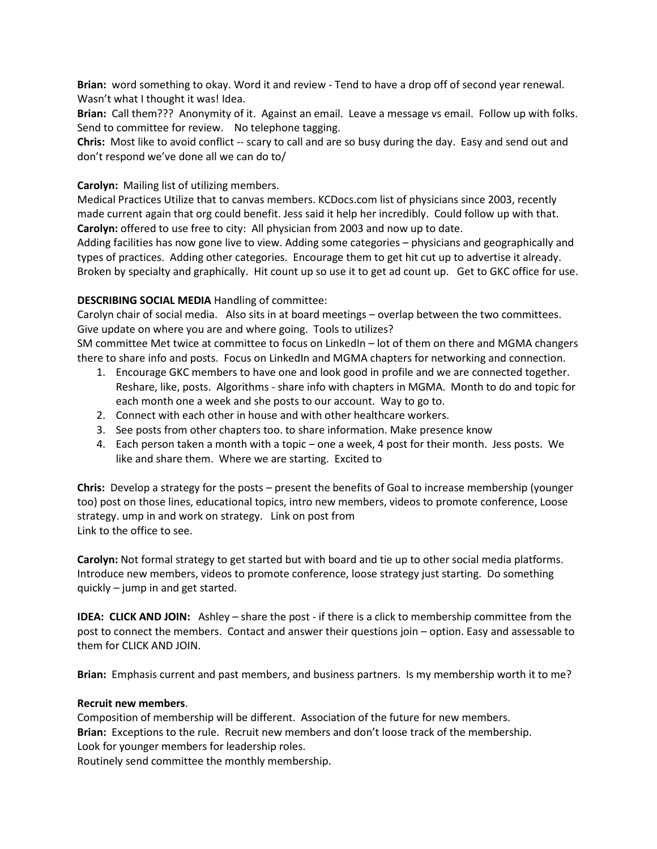**Brian:** word something to okay. Word it and review - Tend to have a drop off of second year renewal. Wasn't what I thought it was! Idea.

**Brian:** Call them??? Anonymity of it. Against an email. Leave a message vs email. Follow up with folks. Send to committee for review. No telephone tagging.

**Chris:** Most like to avoid conflict -- scary to call and are so busy during the day. Easy and send out and don't respond we've done all we can do to/

# **Carolyn:** Mailing list of utilizing members.

Medical Practices Utilize that to canvas members. KCDocs.com list of physicians since 2003, recently made current again that org could benefit. Jess said it help her incredibly. Could follow up with that. **Carolyn:** offered to use free to city: All physician from 2003 and now up to date.

Adding facilities has now gone live to view. Adding some categories – physicians and geographically and types of practices. Adding other categories. Encourage them to get hit cut up to advertise it already. Broken by specialty and graphically. Hit count up so use it to get ad count up. Get to GKC office for use.

# **DESCRIBING SOCIAL MEDIA** Handling of committee:

Carolyn chair of social media. Also sits in at board meetings – overlap between the two committees. Give update on where you are and where going. Tools to utilizes?

SM committee Met twice at committee to focus on LinkedIn – lot of them on there and MGMA changers there to share info and posts. Focus on LinkedIn and MGMA chapters for networking and connection.

- 1. Encourage GKC members to have one and look good in profile and we are connected together. Reshare, like, posts. Algorithms - share info with chapters in MGMA. Month to do and topic for each month one a week and she posts to our account. Way to go to.
- 2. Connect with each other in house and with other healthcare workers.
- 3. See posts from other chapters too. to share information. Make presence know
- 4. Each person taken a month with a topic one a week, 4 post for their month. Jess posts. We like and share them. Where we are starting. Excited to

**Chris:** Develop a strategy for the posts – present the benefits of Goal to increase membership (younger too) post on those lines, educational topics, intro new members, videos to promote conference, Loose strategy. ump in and work on strategy. Link on post from Link to the office to see.

**Carolyn:** Not formal strategy to get started but with board and tie up to other social media platforms. Introduce new members, videos to promote conference, loose strategy just starting. Do something quickly – jump in and get started.

**IDEA: CLICK AND JOIN:** Ashley – share the post - if there is a click to membership committee from the post to connect the members. Contact and answer their questions join – option. Easy and assessable to them for CLICK AND JOIN.

**Brian:** Emphasis current and past members, and business partners. Is my membership worth it to me?

## **Recruit new members**.

Composition of membership will be different. Association of the future for new members. **Brian:** Exceptions to the rule. Recruit new members and don't loose track of the membership. Look for younger members for leadership roles.

Routinely send committee the monthly membership.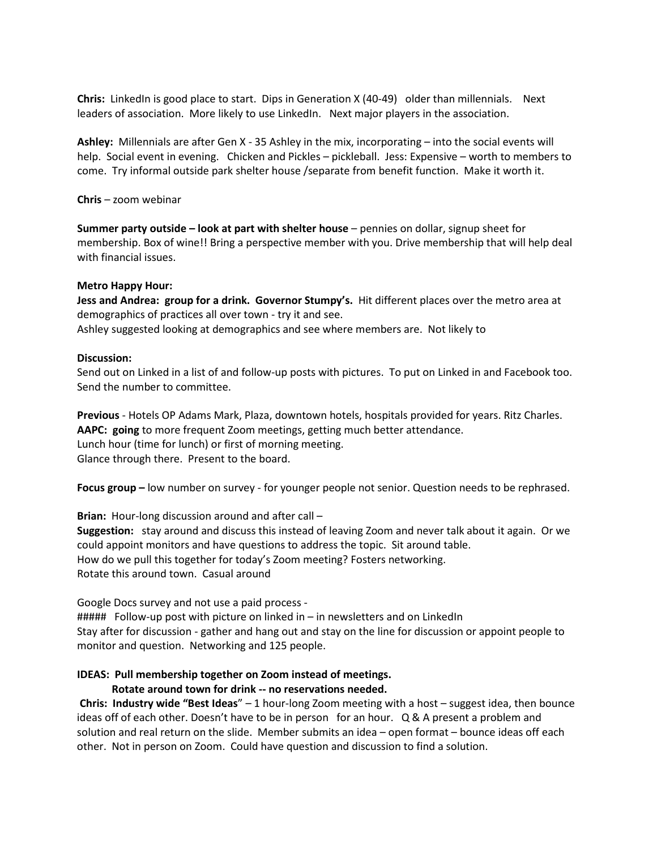**Chris:** LinkedIn is good place to start. Dips in Generation X (40-49) older than millennials. Next leaders of association. More likely to use LinkedIn. Next major players in the association.

**Ashley:** Millennials are after Gen X - 35 Ashley in the mix, incorporating – into the social events will help. Social event in evening. Chicken and Pickles – pickleball. Jess: Expensive – worth to members to come. Try informal outside park shelter house /separate from benefit function. Make it worth it.

**Chris** – zoom webinar

**Summer party outside – look at part with shelter house** – pennies on dollar, signup sheet for membership. Box of wine!! Bring a perspective member with you. Drive membership that will help deal with financial issues.

## **Metro Happy Hour:**

**Jess and Andrea: group for a drink. Governor Stumpy's.** Hit different places over the metro area at demographics of practices all over town - try it and see.

Ashley suggested looking at demographics and see where members are. Not likely to

#### **Discussion:**

Send out on Linked in a list of and follow-up posts with pictures. To put on Linked in and Facebook too. Send the number to committee.

**Previous** - Hotels OP Adams Mark, Plaza, downtown hotels, hospitals provided for years. Ritz Charles. **AAPC: going** to more frequent Zoom meetings, getting much better attendance. Lunch hour (time for lunch) or first of morning meeting. Glance through there. Present to the board.

**Focus group –** low number on survey - for younger people not senior. Question needs to be rephrased.

**Brian:** Hour-long discussion around and after call – **Suggestion:** stay around and discuss this instead of leaving Zoom and never talk about it again. Or we could appoint monitors and have questions to address the topic. Sit around table. How do we pull this together for today's Zoom meeting? Fosters networking. Rotate this around town. Casual around

Google Docs survey and not use a paid process -  $\# \# \# \#$  Follow-up post with picture on linked in – in newsletters and on LinkedIn Stay after for discussion - gather and hang out and stay on the line for discussion or appoint people to monitor and question. Networking and 125 people.

## **IDEAS: Pull membership together on Zoom instead of meetings.**

## **Rotate around town for drink -- no reservations needed.**

**Chris: Industry wide "Best Ideas**" – 1 hour-long Zoom meeting with a host – suggest idea, then bounce ideas off of each other. Doesn't have to be in person for an hour. Q & A present a problem and solution and real return on the slide. Member submits an idea – open format – bounce ideas off each other. Not in person on Zoom. Could have question and discussion to find a solution.